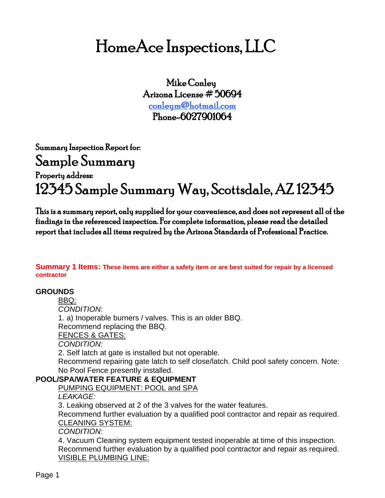# HomeAce Inspections, LLC

Mike Conley Arizona License # 50694 [conleym@hotmail.com](mailto:conleym@hotmail.com) Phone-6027901064

Summary Inspection Report for: Sample Summary

# Property address: 12345 Sample Summary Way, Scottsdale, AZ 12345

This is a summary report, only supplied for your convenience, and does not represent all of the findings in the referenced inspection. For complete information, please read the detailed report that includes all items required by the Arizona Standards of Professional Practice.

**Summary 1 Items: These items are either a safety item or are best suited for repair by a licensed contractor**

# **GROUNDS**

BBQ: *CONDITION:* 

1. a) Inoperable burners / valves. This is an older BBQ. Recommend replacing the BBQ.

FENCES & GATES:

*CONDITION:* 

2. Self latch at gate is installed but not operable.

Recommend repairing gate latch to self close/latch. Child pool safety concern. Note: No Pool Fence presently installed.

# **POOL/SPA/WATER FEATURE & EQUIPMENT**

PUMPING EQUIPMENT: POOL and SPA

*LEAKAGE:* 

3. Leaking observed at 2 of the 3 valves for the water features.

Recommend further evaluation by a qualified pool contractor and repair as required. CLEANING SYSTEM:

*CONDITION:* 

4. Vacuum Cleaning system equipment tested inoperable at time of this inspection. Recommend further evaluation by a qualified pool contractor and repair as required. VISIBLE PLUMBING LINE: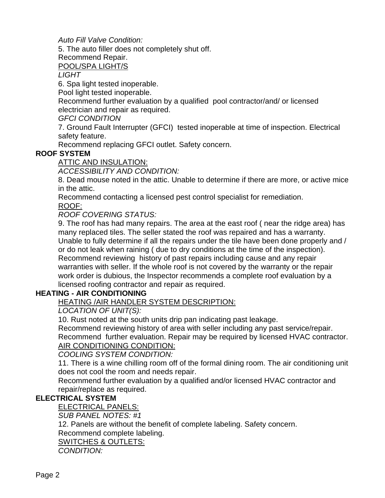*Auto Fill Valve Condition:* 

5. The auto filler does not completely shut off.

Recommend Repair.

POOL/SPA LIGHT/S

*LIGHT* 

6. Spa light tested inoperable.

Pool light tested inoperable.

Recommend further evaluation by a qualified pool contractor/and/ or licensed electrician and repair as required.

*GFCI CONDITION* 

7. Ground Fault Interrupter (GFCI) tested inoperable at time of inspection. Electrical safety feature.

Recommend replacing GFCI outlet. Safety concern.

# **ROOF SYSTEM**

ATTIC AND INSULATION:

*ACCESSIBILITY AND CONDITION:* 

8. Dead mouse noted in the attic. Unable to determine if there are more, or active mice in the attic.

Recommend contacting a licensed pest control specialist for remediation.

ROOF:

*ROOF COVERING STATUS:* 

9. The roof has had many repairs. The area at the east roof ( near the ridge area) has many replaced tiles. The seller stated the roof was repaired and has a warranty. Unable to fully determine if all the repairs under the tile have been done properly and / or do not leak when raining ( due to dry conditions at the time of the inspection). Recommend reviewing history of past repairs including cause and any repair warranties with seller. If the whole roof is not covered by the warranty or the repair work order is dubious, the Inspector recommends a complete roof evaluation by a licensed roofing contractor and repair as required.

# **HEATING - AIR CONDITIONING**

HEATING /AIR HANDLER SYSTEM DESCRIPTION:

*LOCATION OF UNIT(S):* 

10. Rust noted at the south units drip pan indicating past leakage.

Recommend reviewing history of area with seller including any past service/repair.

Recommend further evaluation. Repair may be required by licensed HVAC contractor. AIR CONDITIONING CONDITION:

*COOLING SYSTEM CONDITION:* 

11. There is a wine chilling room off of the formal dining room. The air conditioning unit does not cool the room and needs repair.

Recommend further evaluation by a qualified and/or licensed HVAC contractor and repair/replace as required.

# **ELECTRICAL SYSTEM**

ELECTRICAL PANELS:

*SUB PANEL NOTES: #1* 

12. Panels are without the benefit of complete labeling. Safety concern.

Recommend complete labeling.

SWITCHES & OUTLETS:

*CONDITION:*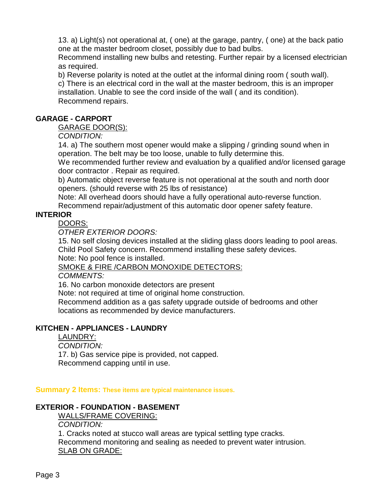13. a) Light(s) not operational at, ( one) at the garage, pantry, ( one) at the back patio one at the master bedroom closet, possibly due to bad bulbs.

Recommend installing new bulbs and retesting. Further repair by a licensed electrician as required.

b) Reverse polarity is noted at the outlet at the informal dining room ( south wall).

c) There is an electrical cord in the wall at the master bedroom, this is an improper installation. Unable to see the cord inside of the wall ( and its condition). Recommend repairs.

### **GARAGE - CARPORT**

GARAGE DOOR(S):

*CONDITION:* 

14. a) The southern most opener would make a slipping / grinding sound when in operation. The belt may be too loose, unable to fully determine this.

We recommended further review and evaluation by a qualified and/or licensed garage door contractor . Repair as required.

b) Automatic object reverse feature is not operational at the south and north door openers. (should reverse with 25 lbs of resistance)

Note: All overhead doors should have a fully operational auto-reverse function. Recommend repair/adjustment of this automatic door opener safety feature.

# **INTERIOR**

DOORS:

*OTHER EXTERIOR DOORS:* 

15. No self closing devices installed at the sliding glass doors leading to pool areas. Child Pool Safety concern. Recommend installing these safety devices. Note: No pool fence is installed.

SMOKE & FIRE /CARBON MONOXIDE DETECTORS:

*COMMENTS:* 

16. No carbon monoxide detectors are present

Note: not required at time of original home construction.

Recommend addition as a gas safety upgrade outside of bedrooms and other locations as recommended by device manufacturers.

# **KITCHEN - APPLIANCES - LAUNDRY**

#### LAUNDRY:

*CONDITION:* 

17. b) Gas service pipe is provided, not capped.

Recommend capping until in use.

**Summary 2 Items: These items are typical maintenance issues.**

# **EXTERIOR - FOUNDATION - BASEMENT**

WALLS/FRAME COVERING:

*CONDITION:* 

1. Cracks noted at stucco wall areas are typical settling type cracks. Recommend monitoring and sealing as needed to prevent water intrusion. SLAB ON GRADE: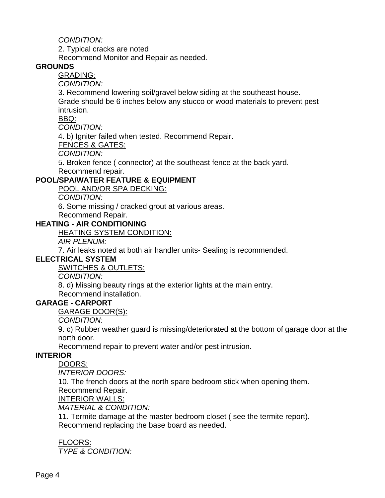*CONDITION:* 

2. Typical cracks are noted

Recommend Monitor and Repair as needed.

#### **GROUNDS**

GRADING:

*CONDITION:* 

3. Recommend lowering soil/gravel below siding at the southeast house. Grade should be 6 inches below any stucco or wood materials to prevent pest intrusion.

BBQ:

*CONDITION:* 

4. b) Igniter failed when tested. Recommend Repair.

FENCES & GATES:

*CONDITION:* 

5. Broken fence ( connector) at the southeast fence at the back yard. Recommend repair.

#### **POOL/SPA/WATER FEATURE & EQUIPMENT**

POOL AND/OR SPA DECKING:

*CONDITION:* 

6. Some missing / cracked grout at various areas.

Recommend Repair.

#### **HEATING - AIR CONDITIONING**

HEATING SYSTEM CONDITION:

*AIR PLENUM:* 

7. Air leaks noted at both air handler units- Sealing is recommended.

#### **ELECTRICAL SYSTEM**

SWITCHES & OUTLETS:

*CONDITION:* 

8. d) Missing beauty rings at the exterior lights at the main entry.

Recommend installation.

#### **GARAGE - CARPORT**

GARAGE DOOR(S):

*CONDITION:* 

9. c) Rubber weather guard is missing/deteriorated at the bottom of garage door at the north door.

Recommend repair to prevent water and/or pest intrusion.

#### **INTERIOR**

DOORS:

*INTERIOR DOORS:* 

10. The french doors at the north spare bedroom stick when opening them. Recommend Repair.

#### INTERIOR WALLS:

*MATERIAL & CONDITION:* 

11. Termite damage at the master bedroom closet ( see the termite report). Recommend replacing the base board as needed.

#### FLOORS: *TYPE & CONDITION:*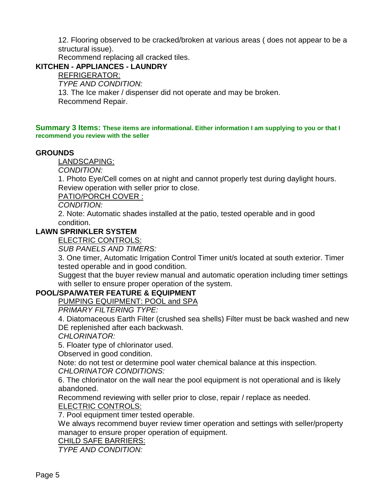12. Flooring observed to be cracked/broken at various areas ( does not appear to be a structural issue).

Recommend replacing all cracked tiles.

#### **KITCHEN - APPLIANCES - LAUNDRY**

REFRIGERATOR:

*TYPE AND CONDITION:* 

13. The Ice maker / dispenser did not operate and may be broken. Recommend Repair.

**Summary 3 Items: These items are informational. Either information I am supplying to you or that I recommend you review with the seller**

#### **GROUNDS**

LANDSCAPING:

*CONDITION:* 

1. Photo Eye/Cell comes on at night and cannot properly test during daylight hours. Review operation with seller prior to close.

PATIO/PORCH COVER :

*CONDITION:* 

2. Note: Automatic shades installed at the patio, tested operable and in good condition.

#### **LAWN SPRINKLER SYSTEM**

ELECTRIC CONTROLS:

*SUB PANELS AND TIMERS:* 

3. One timer, Automatic Irrigation Control Timer unit/s located at south exterior. Timer tested operable and in good condition.

Suggest that the buyer review manual and automatic operation including timer settings with seller to ensure proper operation of the system.

#### **POOL/SPA/WATER FEATURE & EQUIPMENT**

PUMPING EQUIPMENT: POOL and SPA

*PRIMARY FILTERING TYPE:* 

4. Diatomaceous Earth Filter (crushed sea shells) Filter must be back washed and new DE replenished after each backwash.

*CHLORINATOR:* 

5. Floater type of chlorinator used.

Observed in good condition.

Note: do not test or determine pool water chemical balance at this inspection. *CHLORINATOR CONDITIONS:* 

6. The chlorinator on the wall near the pool equipment is not operational and is likely abandoned.

Recommend reviewing with seller prior to close, repair / replace as needed.

ELECTRIC CONTROLS:

7. Pool equipment timer tested operable.

We always recommend buyer review timer operation and settings with seller/property manager to ensure proper operation of equipment.

#### CHILD SAFE BARRIERS:

*TYPE AND CONDITION:*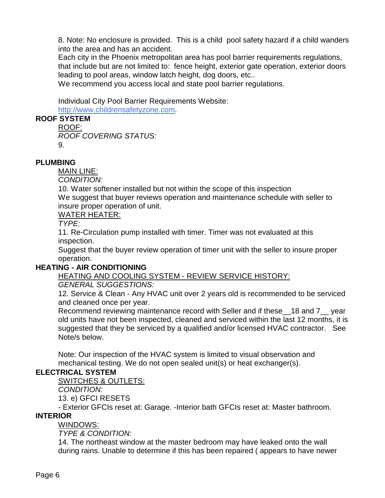8. Note: No enclosure is provided. This is a child pool safety hazard if a child wanders into the area and has an accident.

Each city in the Phoenix metropolitan area has pool barrier requirements regulations, that include but are not limited to: fence height, exterior gate operation, exterior doors leading to pool areas, window latch height, dog doors, etc..

We recommend you access local and state pool barrier regulations.

Individual City Pool Barrier Requirements Website:

[http://w](http://www.childrensafetyzone.com)[ww.childrensafetyzone.com](www.childrensafetyzone.com).

# **ROOF SYSTEM**

ROOF: *ROOF COVERING STATUS:*  9.

#### **PLUMBING**

MAIN LINE:

*CONDITION:* 

10. Water softener installed but not within the scope of this inspection

We suggest that buyer reviews operation and maintenance schedule with seller to insure proper operation of unit.

WATER HEATER:

*TYPE:* 

11. Re-Circulation pump installed with timer. Timer was not evaluated at this inspection.

Suggest that the buyer review operation of timer unit with the seller to insure proper operation.

#### **HEATING - AIR CONDITIONING**

HEATING AND COOLING SYSTEM - REVIEW SERVICE HISTORY:

#### *GENERAL SUGGESTIONS:*

12. Service & Clean - Any HVAC unit over 2 years old is recommended to be serviced and cleaned once per year.

Recommend reviewing maintenance record with Seller and if these\_\_18 and 7\_\_ year old units have not been inspected, cleaned and serviced within the last 12 months, it is suggested that they be serviced by a qualified and/or licensed HVAC contractor. See Note/s below.

Note: Our inspection of the HVAC system is limited to visual observation and mechanical testing. We do not open sealed unit(s) or heat exchanger(s).

# **ELECTRICAL SYSTEM**

SWITCHES & OUTLETS:

*CONDITION:* 

13. e) GFCI RESETS

- Exterior GFCIs reset at: Garage. -Interior bath GFCIs reset at: Master bathroom.

# **INTERIOR**

WINDOWS: *TYPE & CONDITION:* 

14. The northeast window at the master bedroom may have leaked onto the wall during rains. Unable to determine if this has been repaired ( appears to have newer